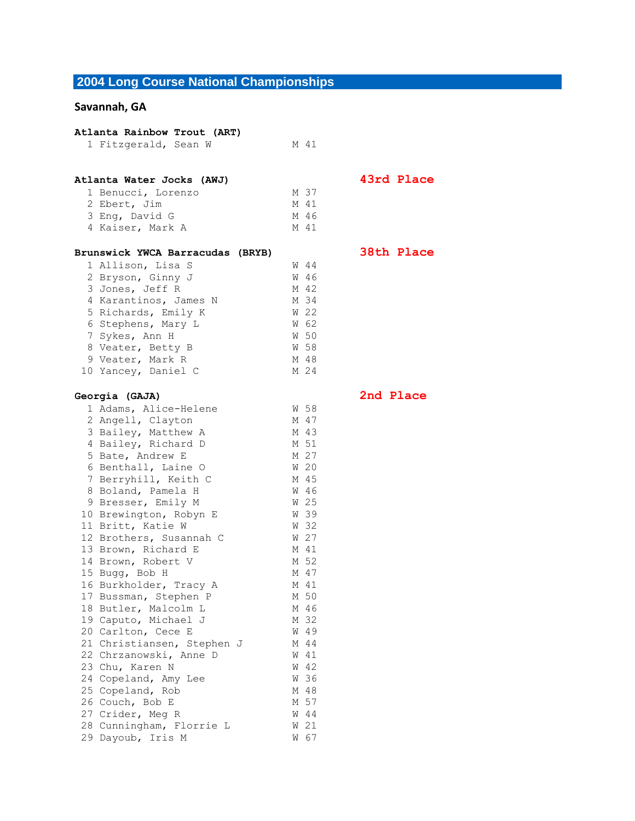## **2004 Long Course National Championships**

## **Savannah, GA**

| Atlanta Rainbow Trout (ART) |                                  |   |      |  |
|-----------------------------|----------------------------------|---|------|--|
|                             | 1 Fitzgerald, Sean W             |   | M 41 |  |
|                             |                                  |   |      |  |
|                             | Atlanta Water Jocks (AWJ)        |   |      |  |
|                             | 1 Benucci, Lorenzo               |   | M 37 |  |
|                             | 2 Ebert, Jim                     |   | M 41 |  |
|                             | 3 Eng, David G                   |   | M 46 |  |
|                             | 4 Kaiser, Mark A                 |   | M 41 |  |
|                             |                                  |   |      |  |
|                             | Brunswick YWCA Barracudas (BRYB) |   |      |  |
|                             | 1 Allison, Lisa S                |   | W 44 |  |
|                             | 2 Bryson, Ginny J                | W | 46   |  |
|                             | 3 Jones, Jeff R                  |   | M 42 |  |
|                             | 4 Karantinos, James N            |   | M 34 |  |
|                             | 5 Richards, Emily K              | W | 22   |  |
|                             | 6 Stephens, Mary L               |   | W 62 |  |
|                             | 7 Sykes, Ann H                   |   | W 50 |  |
|                             | 8 Veater, Betty B                |   | W 58 |  |
|                             | 9 Veater, Mark R                 |   | M 48 |  |
|                             | 10 Yancey, Daniel C              |   | M 24 |  |
|                             | Georgia (GAJA)                   |   |      |  |
|                             | 1 Adams, Alice-Helene            |   | W 58 |  |
|                             | 2 Angell, Clayton                |   | M 47 |  |
|                             | 3 Bailey, Matthew A              |   | M 43 |  |
|                             | 4 Bailey, Richard D              |   | M 51 |  |
|                             | 5 Bate, Andrew E                 |   | M 27 |  |
|                             | 6 Benthall, Laine O              |   | W 20 |  |
|                             | 7 Berryhill, Keith C             |   | M 45 |  |
|                             | 8 Boland, Pamela H               |   | W 46 |  |
|                             | 9 Bresser, Emily M               |   | W 25 |  |
|                             | 10 Brewington, Robyn E           |   | W 39 |  |
|                             | 11 Britt, Katie W                |   | W 32 |  |
|                             | 12 Brothers, Susannah C          |   | W 27 |  |
|                             | 13 Brown, Richard E              |   | M 41 |  |
|                             | 14 Brown, Robert V               |   | M 52 |  |
|                             | 15 Bugg, Bob H                   |   | M 47 |  |
| 16                          | Burkholder, Tracy A              |   | M 41 |  |
| 17                          | Bussman, Stephen P               | М | 50   |  |
| 18                          | Butler, Malcolm L                | М | 46   |  |
|                             | 19 Caputo, Michael J             | М | 32   |  |
|                             | 20 Carlton, Cece E               | W | 49   |  |
|                             | 21 Christiansen, Stephen J       | М | 44   |  |
| 22                          | Chrzanowski, Anne D              | W | 41   |  |
| 23                          | Chu, Karen N                     | W | 42   |  |
|                             | 24 Copeland, Amy Lee             | W | 36   |  |
|                             | 25 Copeland, Rob                 | М | 48   |  |
|                             | 26 Couch, Bob E                  | М | 57   |  |
|                             | 27 Crider, Meg R                 | W | 44   |  |
|                             | 28 Cunningham, Florrie L         | W | 21   |  |
|                             | 29 Dayoub, Iris M                | W | 67   |  |

**Atlanta Water Jocks (AWJ) 43rd Place**

**Brunswick YWCA Barracudas (BRYB) 38th Place**

**Georgia (GAJA) 2nd Place**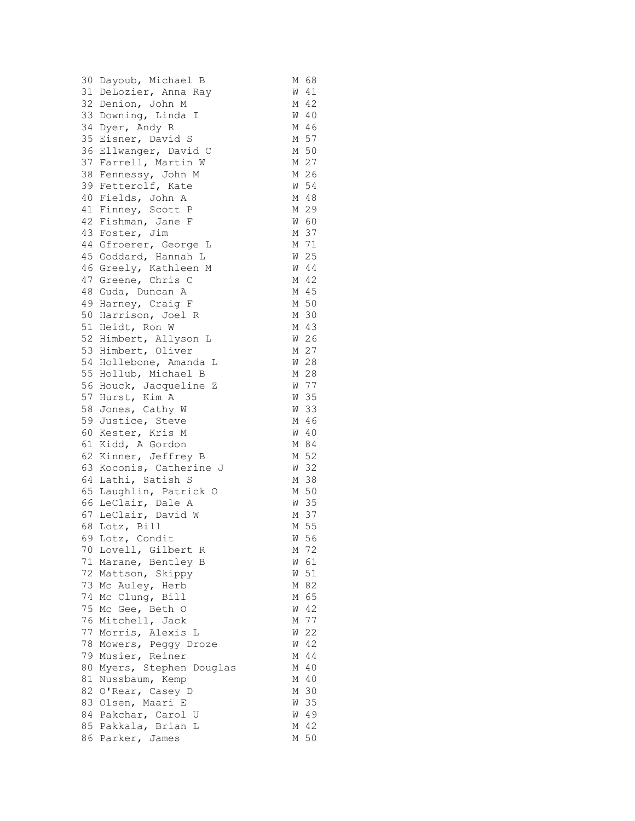|    | 30 Dayoub, Michael B    | М | 68     |
|----|-------------------------|---|--------|
|    | 31 DeLozier, Anna Ray   | W | 41     |
|    | 32 Denion, John M       | М | 42     |
|    | 33 Downing, Linda I     | W | 40     |
|    | 34 Dyer, Andy R         | М | 46     |
|    | 35 Eisner, David S      | М | 57     |
|    | 36 Ellwanger, David C   | М | 50     |
|    | 37 Farrell, Martin W    |   | M 27   |
|    | 38 Fennessy, John M     |   | M 26   |
|    | 39 Fetterolf, Kate      |   | W 54   |
|    | 40 Fields, John A       |   | M 48   |
|    | 41 Finney, Scott P      |   | M 29   |
|    | 42 Fishman, Jane F      |   | W 60   |
|    | 43 Foster, Jim          |   | M 37   |
|    | 44 Gfroerer, George L   |   | M 71   |
|    | 45 Goddard, Hannah L    | W | 25     |
|    | 46 Greely, Kathleen M   |   | W 44   |
|    | 47 Greene, Chris C      |   | M 42   |
|    | 48 Guda, Duncan A       |   | M 45   |
|    | 49 Harney, Craig F      |   | M 50   |
|    | 50 Harrison, Joel R     |   |        |
|    |                         |   | M 30   |
|    | 51 Heidt, Ron W         |   | M 43   |
|    | 52 Himbert, Allyson L   |   | W 26   |
|    | 53 Himbert, Oliver      |   | M 27   |
|    | 54 Hollebone, Amanda L  |   | W 28   |
|    | 55 Hollub, Michael B    |   | M 28   |
|    | 56 Houck, Jacqueline Z  |   | W 77   |
|    | 57 Hurst, Kim A         | W | 35     |
|    | 58 Jones, Cathy W       |   | W 33   |
|    | 59 Justice, Steve       |   | M 46   |
| 60 | Kester, Kris M          | W | 40     |
| 61 | Kidd, A Gordon          |   | M 84   |
| 62 | Kinner, Jeffrey B       |   | M 52   |
|    | 63 Koconis, Catherine J | W | 32     |
|    | 64 Lathi, Satish S      | М | 38     |
|    | 65 Laughlin, Patrick O  |   | M 50   |
|    | 66 LeClair, Dale A      | W | 35     |
|    | 67 LeClair, David W     |   | M 37   |
| 68 | Lotz, Bill              |   | M 55   |
|    | 69 Lotz, Condit         | W | 56     |
|    | 70 Lovell, Gilbert R    | Μ | 72     |
|    | 71 Marane, Bentley B    | W | 61     |
|    | 72 Mattson, Skippy      | W | 51     |
|    | 73 Mc Auley, Herb       | М | 82     |
|    | 74 Mc Clung, Bill       |   | M 65   |
|    | 75 Mc Gee, Beth O       | W | 42     |
| 76 | Mitchell, Jack          | М | 77     |
| 77 | Morris, Alexis L        | W | 22     |
| 78 | Mowers, Peggy Droze     | W | 42     |
| 79 | Musier, Reiner          | М | 44     |
| 80 | Myers, Stephen Douglas  | М | 40     |
| 81 | Nussbaum, Kemp          | М | $4\,0$ |
|    | 82 O'Rear, Casey D      | М | 30     |
|    | 83 Olsen, Maari E       | W | 35     |
|    | 84 Pakchar, Carol U     |   | W 49   |
|    | 85 Pakkala, Brian L     | М | 42     |
|    | 86 Parker, James        |   | M 50   |